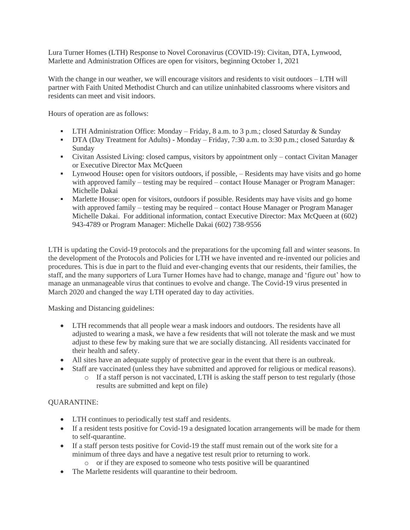Lura Turner Homes (LTH) Response to Novel Coronavirus (COVID-19): Civitan, DTA, Lynwood, Marlette and Administration Offices are open for visitors, beginning October 1, 2021

With the change in our weather, we will encourage visitors and residents to visit outdoors – LTH will partner with Faith United Methodist Church and can utilize uninhabited classrooms where visitors and residents can meet and visit indoors.

Hours of operation are as follows:

- **•** LTH Administration Office: Monday Friday, 8 a.m. to 3 p.m.; closed Saturday & Sunday
- DTA (Day Treatment for Adults) Monday Friday, 7:30 a.m. to 3:30 p.m.; closed Saturday & Sunday
- Civitan Assisted Living: closed campus, visitors by appointment only contact Civitan Manager or Executive Director Max McQueen
- Lynwood House**:** open for visitors outdoors, if possible, Residents may have visits and go home with approved family – testing may be required – contact House Manager or Program Manager: Michelle Dakai
- **•** Marlette House: open for visitors, outdoors if possible. Residents may have visits and go home with approved family – testing may be required – contact House Manager or Program Manager Michelle Dakai. For additional information, contact Executive Director: Max McQueen at (602) 943-4789 or Program Manager: Michelle Dakai (602) 738-9556

LTH is updating the Covid-19 protocols and the preparations for the upcoming fall and winter seasons. In the development of the Protocols and Policies for LTH we have invented and re-invented our policies and procedures. This is due in part to the fluid and ever-changing events that our residents, their families, the staff, and the many supporters of Lura Turner Homes have had to change, manage and 'figure out' how to manage an unmanageable virus that continues to evolve and change. The Covid-19 virus presented in March 2020 and changed the way LTH operated day to day activities.

Masking and Distancing guidelines:

- LTH recommends that all people wear a mask indoors and outdoors. The residents have all adjusted to wearing a mask, we have a few residents that will not tolerate the mask and we must adjust to these few by making sure that we are socially distancing. All residents vaccinated for their health and safety.
- All sites have an adequate supply of protective gear in the event that there is an outbreak.
- Staff are vaccinated (unless they have submitted and approved for religious or medical reasons).
	- o If a staff person is not vaccinated, LTH is asking the staff person to test regularly (those results are submitted and kept on file)

## QUARANTINE:

- LTH continues to periodically test staff and residents.
- If a resident tests positive for Covid-19 a designated location arrangements will be made for them to self-quarantine.
- If a staff person tests positive for Covid-19 the staff must remain out of the work site for a minimum of three days and have a negative test result prior to returning to work.
	- o or if they are exposed to someone who tests positive will be quarantined
- The Marlette residents will quarantine to their bedroom.